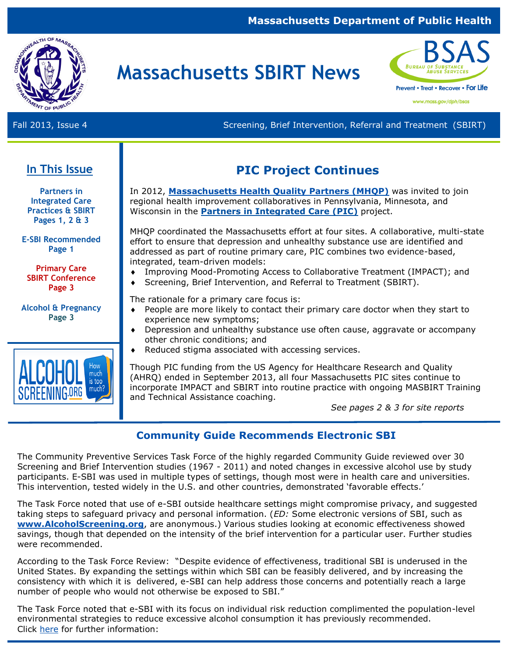#### **Massachusetts Department of Public Health**



# **Massachusetts SBIRT News**



www.mass.gov/dph/bsas

Fall 2013, Issue 4 Screening, Brief Intervention, Referral and Treatment (SBIRT)

### **In This Issue**

**Partners in Integrated Care Practices & SBIRT Pages 1, 2 & 3**

**E-SBI Recommended Page 1** 

**Primary Care SBIRT Conference Page 3**

**Alcohol & Pregnancy Page 3**



### **PIC Project Continues**

In 2012, **[Massachusetts Health Quality Partners \(MHQP\)](http://www.mhqp.org)** was invited to join regional health improvement collaboratives in Pennsylvania, Minnesota, and Wisconsin in the **[Partners in Integrated Care \(PIC\)](http://www.mhqp.org/collaboration/pic.asp?nav=063800)** project.

MHQP coordinated the Massachusetts effort at four sites. A collaborative, multi-state effort to ensure that depression and unhealthy substance use are identified and addressed as part of routine primary care, PIC combines two evidence-based, integrated, team-driven models:

- Improving Mood-Promoting Access to Collaborative Treatment (IMPACT); and
- Screening, Brief Intervention, and Referral to Treatment (SBIRT).

The rationale for a primary care focus is:

- People are more likely to contact their primary care doctor when they start to experience new symptoms;
- Depression and unhealthy substance use often cause, aggravate or accompany other chronic conditions; and
- ◆ Reduced stigma associated with accessing services.

Though PIC funding from the US Agency for Healthcare Research and Quality (AHRQ) ended in September 2013, all four Massachusetts PIC sites continue to incorporate IMPACT and SBIRT into routine practice with ongoing MASBIRT Training and Technical Assistance coaching.

*See pages 2 & 3 for site reports* 

### **Community Guide Recommends Electronic SBI**

The Community Preventive Services Task Force of the highly regarded Community Guide reviewed over 30 Screening and Brief Intervention studies (1967 - 2011) and noted changes in excessive alcohol use by study participants. E-SBI was used in multiple types of settings, though most were in health care and universities. This intervention, tested widely in the U.S. and other countries, demonstrated 'favorable effects.'

The Task Force noted that use of e-SBI outside healthcare settings might compromise privacy, and suggested taking steps to safeguard privacy and personal information. (*ED:* Some electronic versions of SBI, such as **[www.AlcoholScreening.org](http://www.AlcoholScreening.org)**, are anonymous.) Various studies looking at economic effectiveness showed savings, though that depended on the intensity of the brief intervention for a particular user. Further studies were recommended.

According to the Task Force Review: "Despite evidence of effectiveness, traditional SBI is underused in the United States. By expanding the settings within which SBI can be feasibly delivered, and by increasing the consistency with which it is delivered, e-SBI can help address those concerns and potentially reach a large number of people who would not otherwise be exposed to SBI."

The Task Force noted that e-SBI with its focus on individual risk reduction complimented the population-level environmental strategies to reduce excessive alcohol consumption it has previously recommended. Click [here](http://thecommunityguide.org/alcohol/eSBI.html) for further information: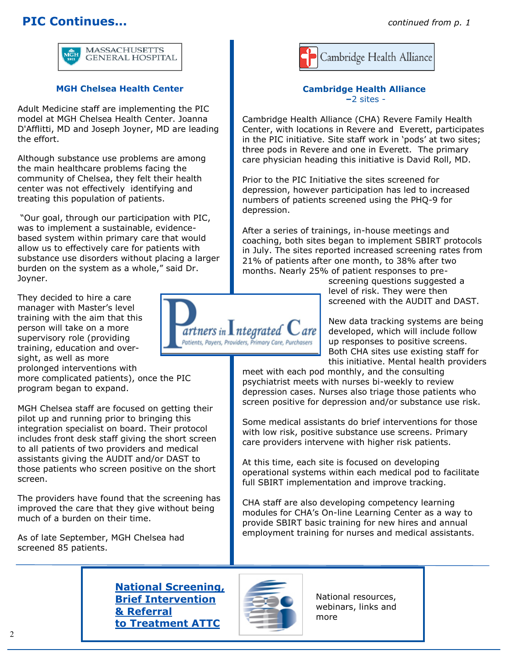### **PIC Continues...** *continued from p. 1*



#### **MGH Chelsea Health Center**

Adult Medicine staff are implementing the PIC model at MGH Chelsea Health Center. Joanna D'Afflitti, MD and Joseph Joyner, MD are leading the effort.

Although substance use problems are among the main healthcare problems facing the community of Chelsea, they felt their health center was not effectively identifying and treating this population of patients.

"Our goal, through our participation with PIC, was to implement a sustainable, evidencebased system within primary care that would allow us to effectively care for patients with substance use disorders without placing a larger burden on the system as a whole," said Dr. Joyner.

They decided to hire a care manager with Master's level training with the aim that this person will take on a more supervisory role (providing training, education and oversight, as well as more prolonged interventions with

more complicated patients), once the PIC program began to expand.

MGH Chelsea staff are focused on getting their pilot up and running prior to bringing this integration specialist on board. Their protocol includes front desk staff giving the short screen to all patients of two providers and medical assistants giving the AUDIT and/or DAST to those patients who screen positive on the short screen.

The providers have found that the screening has improved the care that they give without being much of a burden on their time.

As of late September, MGH Chelsea had screened 85 patients.



#### **Cambridge Health Alliance –**2 sites -

Cambridge Health Alliance (CHA) Revere Family Health Center, with locations in Revere and Everett, participates in the PIC initiative. Site staff work in 'pods' at two sites; three pods in Revere and one in Everett. The primary care physician heading this initiative is David Roll, MD.

Prior to the PIC Initiative the sites screened for depression, however participation has led to increased numbers of patients screened using the PHQ-9 for depression.

After a series of trainings, in-house meetings and coaching, both sites began to implement SBIRT protocols in July. The sites reported increased screening rates from 21% of patients after one month, to 38% after two months. Nearly 25% of patient responses to pre-

> screening questions suggested a level of risk. They were then screened with the AUDIT and DAST.

New data tracking systems are being developed, which will include follow up responses to positive screens. Both CHA sites use existing staff for this initiative. Mental health providers

meet with each pod monthly, and the consulting psychiatrist meets with nurses bi-weekly to review depression cases. Nurses also triage those patients who screen positive for depression and/or substance use risk.

Some medical assistants do brief interventions for those with low risk, positive substance use screens. Primary care providers intervene with higher risk patients.

At this time, each site is focused on developing operational systems within each medical pod to facilitate full SBIRT implementation and improve tracking.

CHA staff are also developing competency learning modules for CHA's On-line Learning Center as a way to provide SBIRT basic training for new hires and annual employment training for nurses and medical assistants.

**[National Screening,](http://www.ATTCnetwork.org/sbirt)  [Brief Intervention](http://www.ATTCnetwork.org/sbirt)  [& Referral](http://www.ATTCnetwork.org/sbirt)  [to Treatment ATTC](http://www.ATTCnetwork.org/sbirt)**



National resources, webinars, links and more

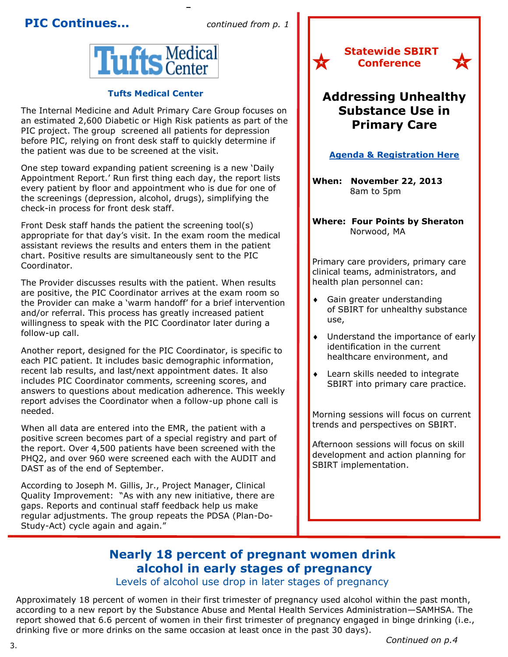### **PIC Continues...** *continued from p. 1*



#### **Tufts Medical Center**

The Internal Medicine and Adult Primary Care Group focuses on an estimated 2,600 Diabetic or High Risk patients as part of the PIC project. The group screened all patients for depression before PIC, relying on front desk staff to quickly determine if the patient was due to be screened at the visit.

One step toward expanding patient screening is a new 'Daily Appointment Report.' Run first thing each day, the report lists every patient by floor and appointment who is due for one of the screenings (depression, alcohol, drugs), simplifying the check-in process for front desk staff.

Front Desk staff hands the patient the screening tool(s) appropriate for that day's visit. In the exam room the medical assistant reviews the results and enters them in the patient chart. Positive results are simultaneously sent to the PIC Coordinator.

The Provider discusses results with the patient. When results are positive, the PIC Coordinator arrives at the exam room so the Provider can make a 'warm handoff' for a brief intervention and/or referral. This process has greatly increased patient willingness to speak with the PIC Coordinator later during a follow-up call.

Another report, designed for the PIC Coordinator, is specific to each PIC patient. It includes basic demographic information, recent lab results, and last/next appointment dates. It also includes PIC Coordinator comments, screening scores, and answers to questions about medication adherence. This weekly report advises the Coordinator when a follow-up phone call is needed.

When all data are entered into the EMR, the patient with a positive screen becomes part of a special registry and part of the report. Over 4,500 patients have been screened with the PHQ2, and over 960 were screened each with the AUDIT and DAST as of the end of September.

According to Joseph M. Gillis, Jr., Project Manager, Clinical Quality Improvement: "As with any new initiative, there are gaps. Reports and continual staff feedback help us make regular adjustments. The group repeats the PDSA (Plan-Do-Study-Act) cycle again and again."



## **Addressing Unhealthy Substance Use in Primary Care**

太

#### **Agenda & [Registration Here](http://www.bumc.bu.edu/cme/educational-opportunities/live-meetings/sbirt13/)**

**When: November 22, 2013**  8am to 5pm

**Where: Four Points by Sheraton**  Norwood, MA

Primary care providers, primary care clinical teams, administrators, and health plan personnel can:

- Gain greater understanding of SBIRT for unhealthy substance use,
- Understand the importance of early identification in the current healthcare environment, and
- Learn skills needed to integrate SBIRT into primary care practice.

Morning sessions will focus on current trends and perspectives on SBIRT.

Afternoon sessions will focus on skill development and action planning for SBIRT implementation.

### **Nearly 18 percent of pregnant women drink alcohol in early stages of pregnancy**

Levels of alcohol use drop in later stages of pregnancy

Approximately 18 percent of women in their first trimester of pregnancy used alcohol within the past month, according to a new report by the Substance Abuse and Mental Health Services Administration—SAMHSA. The report showed that 6.6 percent of women in their first trimester of pregnancy engaged in binge drinking (i.e., drinking five or more drinks on the same occasion at least once in the past 30 days).